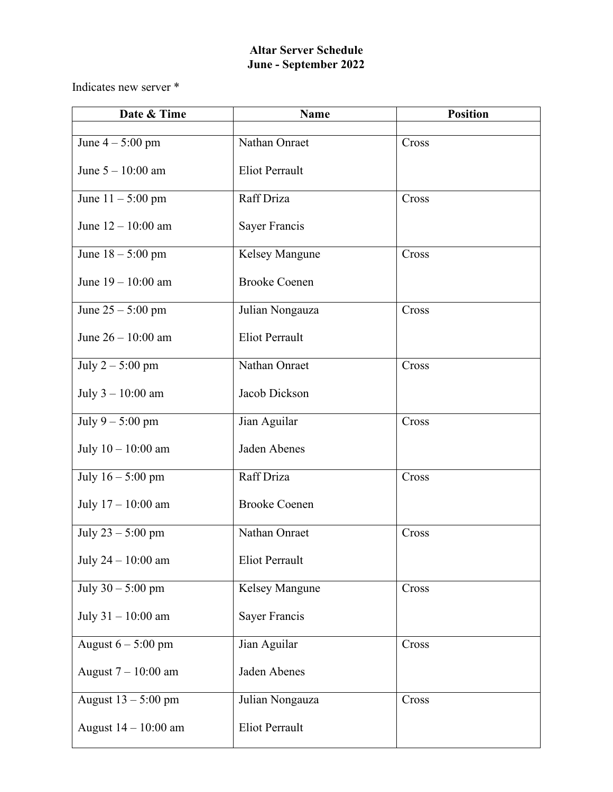## **Altar Server Schedule June - September 2022**

Indicates new server \*

| Date & Time           | <b>Name</b>           | <b>Position</b> |
|-----------------------|-----------------------|-----------------|
| June $4-5:00$ pm      | Nathan Onraet         | Cross           |
| June $5 - 10:00$ am   | <b>Eliot Perrault</b> |                 |
| June $11 - 5:00$ pm   | Raff Driza            | Cross           |
| June 12 - 10:00 am    | Sayer Francis         |                 |
| June $18 - 5:00$ pm   | Kelsey Mangune        | Cross           |
| June $19 - 10:00$ am  | <b>Brooke Coenen</b>  |                 |
| June $25 - 5:00$ pm   | Julian Nongauza       | Cross           |
| June $26 - 10:00$ am  | <b>Eliot Perrault</b> |                 |
| July $2 - 5:00$ pm    | Nathan Onraet         | Cross           |
| July $3 - 10:00$ am   | Jacob Dickson         |                 |
| July $9 - 5:00$ pm    | Jian Aguilar          | Cross           |
| July $10 - 10:00$ am  | Jaden Abenes          |                 |
| July $16 - 5:00$ pm   | Raff Driza            | Cross           |
| July $17 - 10:00$ am  | <b>Brooke Coenen</b>  |                 |
| July 23 - 5:00 pm     | Nathan Onraet         | Cross           |
| July 24 - 10:00 am    | <b>Eliot Perrault</b> |                 |
| July $30 - 5:00$ pm   | Kelsey Mangune        | Cross           |
| July 31 - 10:00 am    | Sayer Francis         |                 |
| August $6 - 5:00$ pm  | Jian Aguilar          | Cross           |
| August $7 - 10:00$ am | Jaden Abenes          |                 |
| August 13 - 5:00 pm   | Julian Nongauza       | Cross           |
| August 14 - 10:00 am  | <b>Eliot Perrault</b> |                 |